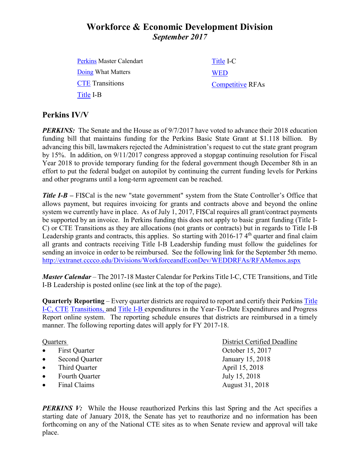# **Workforce & Economic Development Division** *September 2017*

[Perkins](http://extranet.cccco.edu/Portals/1/WED/Perkins/Perkins-MasterCalendar-2016) Master Calendart [Doing](http://doingwhatmatters.cccco.edu/) What Matters **[CTE](http://extranet.cccco.edu/Divisions/WorkforceandEconDev/CareerEducationPractices/PerkinsIV/CTETransitions.aspx)** Transitions [Title](http://extranet.cccco.edu/Divisions/WorkforceandEconDev/CareerEducationPractices/PerkinsIV/PerkinsIVTitleIPartB.aspx) I-B [Title](http://extranet.cccco.edu/Divisions/WorkforceandEconDev/CareerEducationPractices/PerkinsIV/PerkinsIVTitleIPartC.aspx) I-C **[WED](http://extranet.cccco.edu/Divisions/WorkforceandEconDev.aspx)** [Competitive](http://extranet.cccco.edu/Divisions/WorkforceandEconDev/WEDDRFAs.aspx) RFAs

### **Perkins IV/V**

*PERKINS:* The Senate and the House as of 9/7/2017 have voted to advance their 2018 education funding bill that maintains funding for the Perkins Basic State Grant at \$1.118 billion. By advancing this bill, lawmakers rejected the Administration's request to cut the state grant program by 15%. In addition, on 9/11/2017 congress approved a stopgap continuing resolution for Fiscal Year 2018 to provide temporary funding for the federal government though December 8th in an effort to put the federal budget on autopilot by continuing the current funding levels for Perkins and other programs until a long-term agreement can be reached.

*Title I-B –* FISCal is the new "state government" system from the State Controller's Office that allows payment, but requires invoicing for grants and contracts above and beyond the online system we currently have in place. As of July 1, 2017, FI\$Cal requires all grant/contract payments be supported by an invoice. In Perkins funding this does not apply to basic grant funding (Title I-C) or CTE Transitions as they are allocations (not grants or contracts) but in regards to Title I-B Leadership grants and contracts, this applies. So starting with 2016-17 4<sup>th</sup> quarter and final claim all grants and contracts receiving Title I-B Leadership funding must follow the guidelines for sending an invoice in order to be reimbursed. See the following link for the September 5th memo. <http://extranet.cccco.edu/Divisions/WorkforceandEconDev/WEDDRFAs/RFAMemos.aspx>

*Master Calendar* – The 2017-18 Master Calendar for Perkins Title I-C, CTE Transitions, and Title I-B Leadership is posted online (see link at the top of the page).

**Quarterly Reporting** – Every quarter districts are required to report and certify their Perkins [Title](https://misweb02.cccco.edu/vtea/dba/logon.cfm) I-C, [CTE](https://misweb02.cccco.edu/ctetransitions/prod/logon.cfm) Transitions, and [Title](https://misweb02.cccco.edu/vteaib/prod/logon.cfm) I-B expenditures in the Year-To-Date Expenditures and Progress Report online system. The reporting schedule ensures that districts are reimbursed in a timely manner. The following reporting dates will apply for FY 2017-18.

| Quarters  |                       | District Certified Deadline |
|-----------|-----------------------|-----------------------------|
| $\bullet$ | <b>First Quarter</b>  | October 15, 2017            |
| $\bullet$ | <b>Second Quarter</b> | January 15, 2018            |
| $\bullet$ | Third Quarter         | April 15, 2018              |
| $\bullet$ | <b>Fourth Quarter</b> | July 15, 2018               |
| $\bullet$ | Final Claims          | August 31, 2018             |

*PERKINS V:* While the House reauthorized Perkins this last Spring and the Act specifies a starting date of January 2018, the Senate has yet to reauthorize and no information has been forthcoming on any of the National CTE sites as to when Senate review and approval will take place.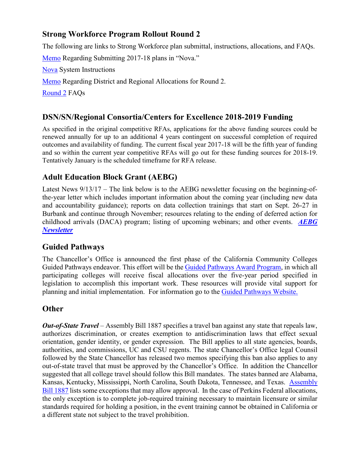## **Strong Workforce Program Rollout Round 2**

The following are links to Strong Workforce plan submittal, instructions, allocations, and FAQs.

[Memo](http://extranet.cccco.edu/Portals/1/WED/WEDDRFA/RFAMemos/SWP_Round2_Rollout_Local_and_Regional_Template_and_Reporting.pdf) Regarding Submitting 2017-18 plans in "Nova."

[Nova](http://doingwhatmatters.cccco.edu/portals/6/docs/sw/SWP%20Round%202%20Manual.pdf) System Instructions

[Memo](http://doingwhatmatters.cccco.edu/portals/6/docs/sw/Strong%20Workforce%20Program%20Allocation%20for%202017-2018.pdf) Regarding District and Regional Allocations for Round 2.

[Round 2](http://doingwhatmatters.cccco.edu/portals/6/docs/sw/SWP%20v2%20FAQsM) FAQs

## **DSN/SN/Regional Consortia/Centers for Excellence 2018-2019 Funding**

As specified in the original competitive RFAs, applications for the above funding sources could be renewed annually for up to an additional 4 years contingent on successful completion of required outcomes and availability of funding. The current fiscal year 2017-18 will be the fifth year of funding and so within the current year competitive RFAs will go out for these funding sources for 2018-19. Tentatively January is the scheduled timeframe for RFA release.

## **Adult Education Block Grant (AEBG)**

Latest News 9/13/17 – The link below is to the AEBG newsletter focusing on the beginning-ofthe-year letter which includes important information about the coming year (including new data and accountability guidance); reports on data collection trainings that start on Sept. 26-27 in Burbank and continue through November; resources relating to the ending of deferred action for childhood arrivals (DACA) program; listing of upcoming webinars; and other events. *[AEBG](http://myemail.constantcontact.com/More-on-AEBG--Beginning-of-the-Year-Letter-Released--Register-for-the-Regional-Trainings--Resources-Relating-to-End-of-DACA--AEB.html?soid=1114865855964&aid=RHZvjw_McZE)  [Newsletter](http://myemail.constantcontact.com/More-on-AEBG--Beginning-of-the-Year-Letter-Released--Register-for-the-Regional-Trainings--Resources-Relating-to-End-of-DACA--AEB.html?soid=1114865855964&aid=RHZvjw_McZE)*

### **Guided Pathways**

The Chancellor's Office is announced the first phase of the California Community Colleges Guided Pathways endeavor. This effort will be th[e Guided Pathways Award Program,](http://iepi.cccco.edu/Portals/0/SB85_2017-2018%28pgs_26-31%29.pdf) in which all participating colleges will receive fiscal allocations over the five-year period specified in legislation to accomplish this important work. These resources will provide vital support for planning and initial implementation. For information go to the [Guided Pathways Website.](http://iepi.cccco.edu/guided-pathways)

### **Other**

*Out-of-State Travel* – Assembly Bill 1887 specifies a travel ban against any state that repeals law, authorizes discrimination, or creates exemption to antidiscrimination laws that effect sexual orientation, gender identity, or gender expression. The Bill applies to all state agencies, boards, authorities, and commissions, UC and CSU regents. The state Chancellor's Office legal Counsil followed by the State Chancellor has released two memos specifying this ban also applies to any out-of-state travel that must be approved by the Chancellor's Office. In addition the Chancellor suggested that all college travel should follow this Bill mandates. The states banned are Alabama, Kansas, Kentucky, Mississippi, North Carolina, South Dakota, Tennessee, and Texas. [Assembly](https://oag.ca.gov/sites/all/files/agweb/pdfs/ab1887/ab-1887-text.pdf)  [Bill 1887](https://oag.ca.gov/sites/all/files/agweb/pdfs/ab1887/ab-1887-text.pdf) lists some exceptions that may allow approval. In the case of Perkins Federal allocations, the only exception is to complete job-required training necessary to maintain licensure or similar standards required for holding a position, in the event training cannot be obtained in California or a different state not subject to the travel prohibition.